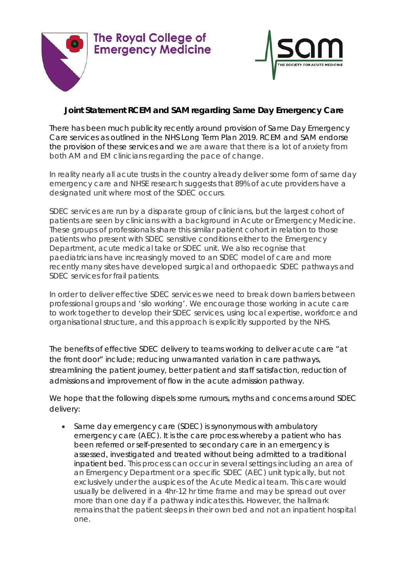



## **Joint Statement RCEM and SAM regarding Same Day Emergency Care**

There has been much publicity recently around provision of Same Day Emergency Care services as outlined in the NHS Long Term Plan 2019. RCEM and SAM endorse the provision of these services and we are aware that there is a lot of anxiety from both AM and EM clinicians regarding the pace of change.

In reality nearly all acute trusts in the country already deliver some form of same day emergency care and NHSE research suggests that 89% of acute providers have a designated unit where most of the SDEC occurs.

SDEC services are run by a disparate group of clinicians, but the largest cohort of patients are seen by clinicians with a background in Acute or Emergency Medicine. These groups of professionals share this similar patient cohort in relation to those patients who present with SDEC sensitive conditions either to the Emergency Department, acute medical take or SDEC unit. We also recognise that paediatricians have increasingly moved to an SDEC model of care and more recently many sites have developed surgical and orthopaedic SDEC pathways and SDEC services for frail patients.

In order to deliver effective SDEC services we need to break down barriers between professional groups and 'silo working'. We encourage those working in acute care to work together to develop their SDEC services, using local expertise, workforce and organisational structure, and this approach is explicitly supported by the NHS.

The benefits of effective SDEC delivery to teams working to deliver acute care "at the front door" include; reducing unwarranted variation in care pathways, streamlining the patient journey, better patient and staff satisfaction, reduction of admissions and improvement of flow in the acute admission pathway.

We hope that the following dispels some rumours, myths and concerns around SDEC delivery:

• Same day emergency care (SDEC) is synonymous with ambulatory emergency care (AEC). It is the care process whereby a patient who has been referred or self-presented to secondary care in an emergency is assessed, investigated and treated without being admitted to a traditional inpatient bed. This process can occur in several settings including an area of an Emergency Department or a specific SDEC (AEC) unit typically, but not exclusively under the auspices of the Acute Medical team. This care would usually be delivered in a 4hr-12 hr time frame and may be spread out over more than one day if a pathway indicates this. However, the hallmark remains that the patient sleeps in their own bed and not an inpatient hospital one.